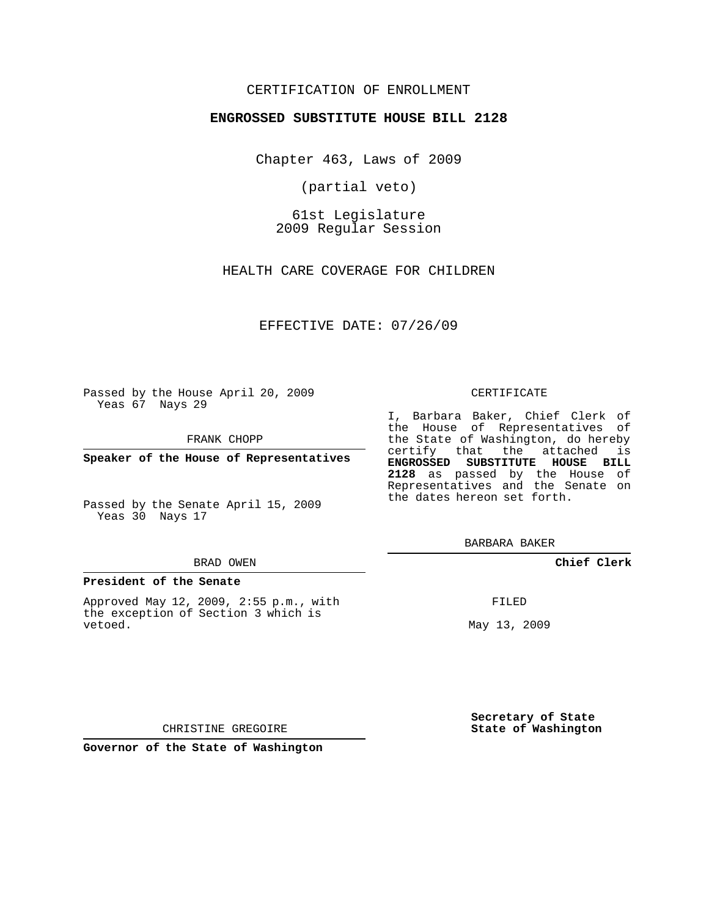## CERTIFICATION OF ENROLLMENT

### **ENGROSSED SUBSTITUTE HOUSE BILL 2128**

Chapter 463, Laws of 2009

(partial veto)

61st Legislature 2009 Regular Session

HEALTH CARE COVERAGE FOR CHILDREN

EFFECTIVE DATE: 07/26/09

Passed by the House April 20, 2009 Yeas 67 Nays 29

FRANK CHOPP

**Speaker of the House of Representatives**

#### BRAD OWEN

#### **President of the Senate**

Approved May 12, 2009, 2:55 p.m., with the exception of Section 3 which is vetoed.

CERTIFICATE

I, Barbara Baker, Chief Clerk of the House of Representatives of the State of Washington, do hereby certify that the attached is **ENGROSSED SUBSTITUTE HOUSE BILL 2128** as passed by the House of Representatives and the Senate on the dates hereon set forth.

BARBARA BAKER

**Chief Clerk**

FILED

May 13, 2009

**Secretary of State State of Washington**

CHRISTINE GREGOIRE

**Governor of the State of Washington**

Passed by the Senate April 15, 2009 Yeas 30 Nays 17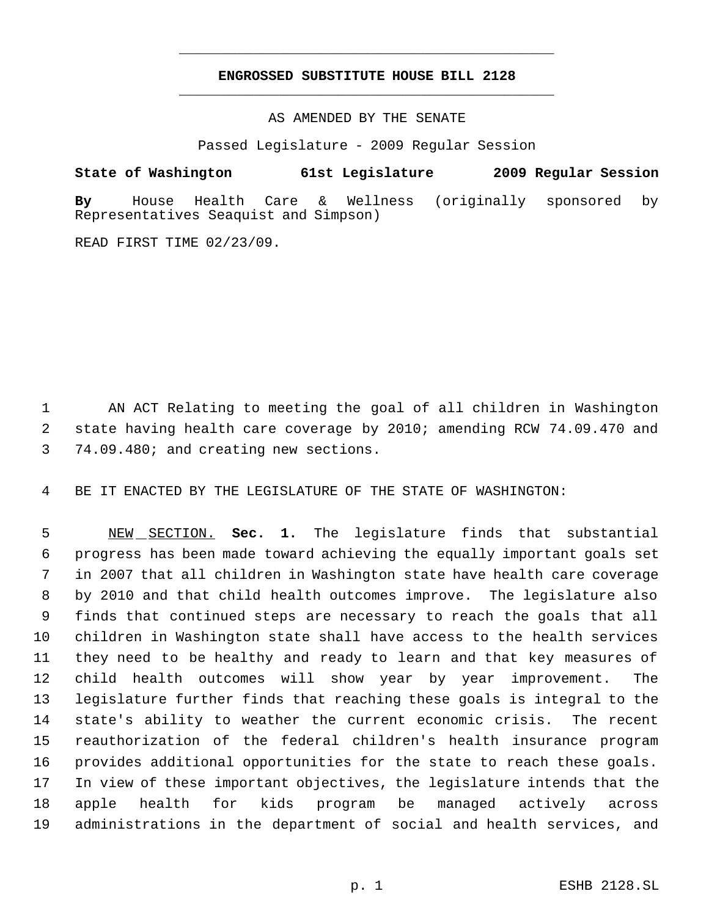# **ENGROSSED SUBSTITUTE HOUSE BILL 2128** \_\_\_\_\_\_\_\_\_\_\_\_\_\_\_\_\_\_\_\_\_\_\_\_\_\_\_\_\_\_\_\_\_\_\_\_\_\_\_\_\_\_\_\_\_

\_\_\_\_\_\_\_\_\_\_\_\_\_\_\_\_\_\_\_\_\_\_\_\_\_\_\_\_\_\_\_\_\_\_\_\_\_\_\_\_\_\_\_\_\_

AS AMENDED BY THE SENATE

Passed Legislature - 2009 Regular Session

**State of Washington 61st Legislature 2009 Regular Session By** House Health Care & Wellness (originally sponsored by Representatives Seaquist and Simpson)

READ FIRST TIME 02/23/09.

 AN ACT Relating to meeting the goal of all children in Washington state having health care coverage by 2010; amending RCW 74.09.470 and 74.09.480; and creating new sections.

BE IT ENACTED BY THE LEGISLATURE OF THE STATE OF WASHINGTON:

 NEW SECTION. **Sec. 1.** The legislature finds that substantial progress has been made toward achieving the equally important goals set in 2007 that all children in Washington state have health care coverage by 2010 and that child health outcomes improve. The legislature also finds that continued steps are necessary to reach the goals that all children in Washington state shall have access to the health services they need to be healthy and ready to learn and that key measures of child health outcomes will show year by year improvement. The legislature further finds that reaching these goals is integral to the state's ability to weather the current economic crisis. The recent reauthorization of the federal children's health insurance program provides additional opportunities for the state to reach these goals. In view of these important objectives, the legislature intends that the apple health for kids program be managed actively across administrations in the department of social and health services, and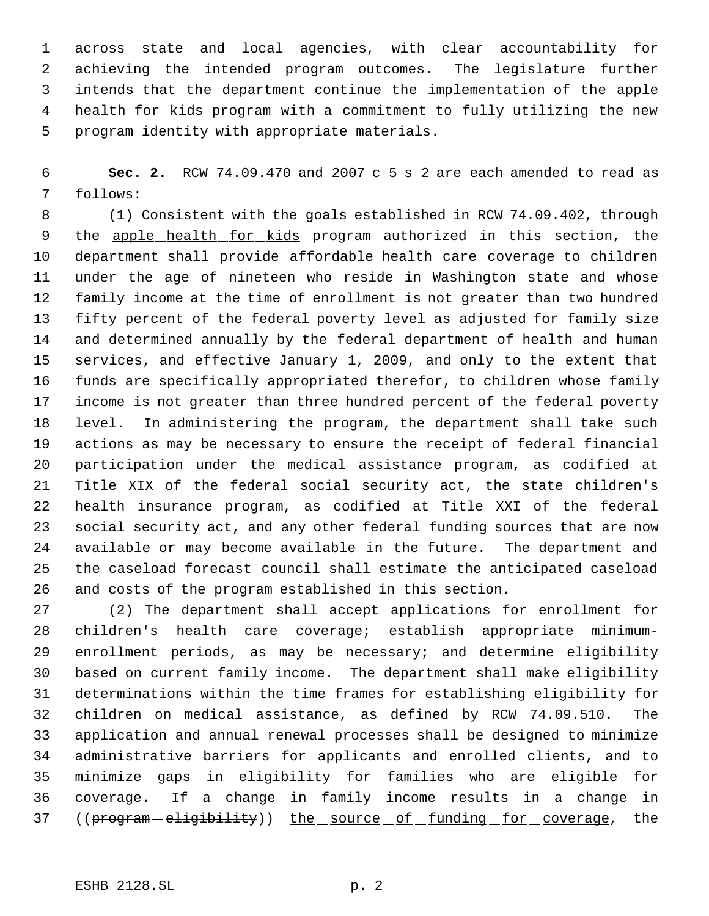across state and local agencies, with clear accountability for achieving the intended program outcomes. The legislature further intends that the department continue the implementation of the apple health for kids program with a commitment to fully utilizing the new program identity with appropriate materials.

 **Sec. 2.** RCW 74.09.470 and 2007 c 5 s 2 are each amended to read as follows:

 (1) Consistent with the goals established in RCW 74.09.402, through the apple health for kids program authorized in this section, the department shall provide affordable health care coverage to children under the age of nineteen who reside in Washington state and whose family income at the time of enrollment is not greater than two hundred fifty percent of the federal poverty level as adjusted for family size and determined annually by the federal department of health and human services, and effective January 1, 2009, and only to the extent that funds are specifically appropriated therefor, to children whose family income is not greater than three hundred percent of the federal poverty level. In administering the program, the department shall take such actions as may be necessary to ensure the receipt of federal financial participation under the medical assistance program, as codified at Title XIX of the federal social security act, the state children's health insurance program, as codified at Title XXI of the federal social security act, and any other federal funding sources that are now available or may become available in the future. The department and the caseload forecast council shall estimate the anticipated caseload and costs of the program established in this section.

 (2) The department shall accept applications for enrollment for children's health care coverage; establish appropriate minimum- enrollment periods, as may be necessary; and determine eligibility based on current family income. The department shall make eligibility determinations within the time frames for establishing eligibility for children on medical assistance, as defined by RCW 74.09.510. The application and annual renewal processes shall be designed to minimize administrative barriers for applicants and enrolled clients, and to minimize gaps in eligibility for families who are eligible for coverage. If a change in family income results in a change in 37 ((program - eligibility)) the source of funding for coverage, the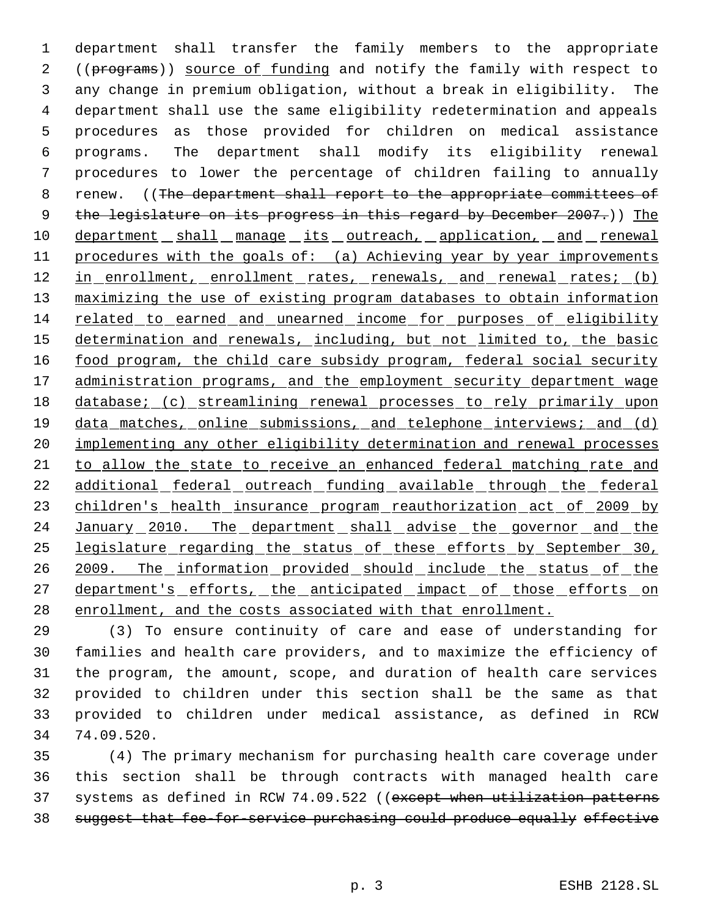1 department shall transfer the family members to the appropriate 2 ((programs)) source of funding and notify the family with respect to 3 any change in premium obligation, without a break in eligibility. The 4 department shall use the same eligibility redetermination and appeals 5 procedures as those provided for children on medical assistance 6 programs. The department shall modify its eligibility renewal 7 procedures to lower the percentage of children failing to annually 8 renew. ((The department shall report to the appropriate committees of 9 the legislature on its progress in this regard by December 2007.)) The 10 department shall manage its outreach, application, and renewal 11 procedures with the goals of: (a) Achieving year by year improvements 12 in enrollment, enrollment rates, renewals, and renewal rates; (b) 13 maximizing the use of existing program databases to obtain information 14 related to earned and unearned income for purposes of eligibility 15 determination and renewals, including, but not limited to, the basic 16 food program, the child care subsidy program, federal social security 17 administration programs, and the employment security department wage 18 database; (c) streamlining renewal processes to rely primarily upon 19 data matches, online submissions, and telephone interviews; and (d) 20 implementing any other eligibility determination and renewal processes 21 to allow the state to receive an enhanced federal matching rate and 22 additional federal outreach funding available through the federal 23 children's health insurance program reauthorization act of 2009 by 24 January 2010. The department shall advise the governor and the 25 legislature regarding the status of these efforts by September 30, 26 2009. The information provided should include the status of the 27 department's efforts, the anticipated impact of those efforts on 28 enrollment, and the costs associated with that enrollment.

 (3) To ensure continuity of care and ease of understanding for families and health care providers, and to maximize the efficiency of the program, the amount, scope, and duration of health care services provided to children under this section shall be the same as that provided to children under medical assistance, as defined in RCW 74.09.520.

 (4) The primary mechanism for purchasing health care coverage under this section shall be through contracts with managed health care systems as defined in RCW 74.09.522 ((except when utilization patterns suggest that fee-for-service purchasing could produce equally effective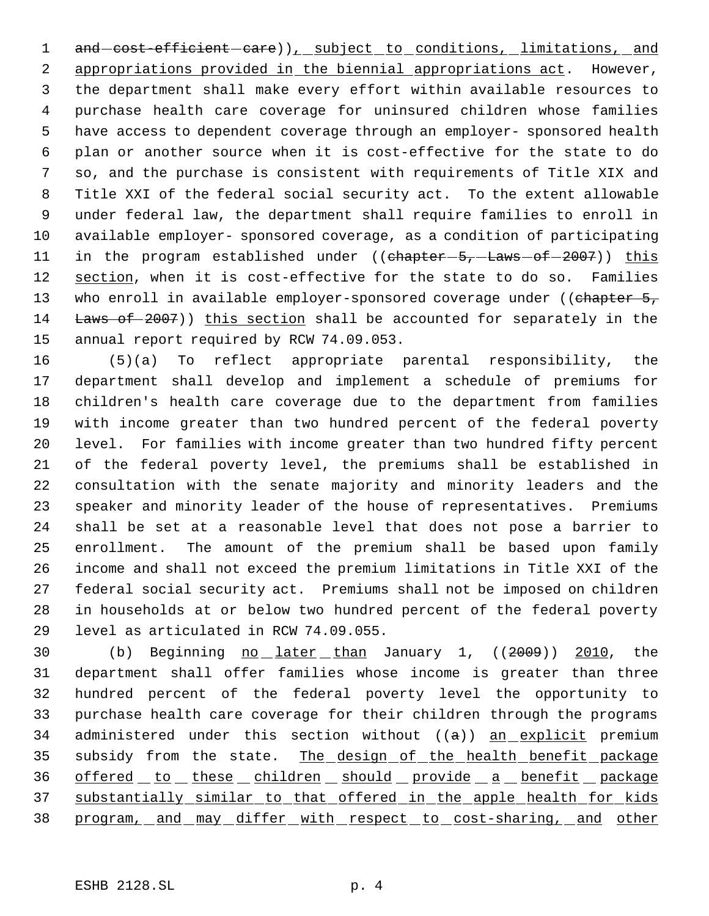1 and cost-efficient care)), subject to conditions, limitations, and appropriations provided in the biennial appropriations act. However, the department shall make every effort within available resources to purchase health care coverage for uninsured children whose families have access to dependent coverage through an employer- sponsored health plan or another source when it is cost-effective for the state to do so, and the purchase is consistent with requirements of Title XIX and Title XXI of the federal social security act. To the extent allowable under federal law, the department shall require families to enroll in available employer- sponsored coverage, as a condition of participating 11 in the program established under ((chapter-5,-Laws-of-2007)) this 12 section, when it is cost-effective for the state to do so. Families 13 who enroll in available employer-sponsored coverage under ((chapter 5, 14 Laws of 2007)) this section shall be accounted for separately in the annual report required by RCW 74.09.053.

 (5)(a) To reflect appropriate parental responsibility, the department shall develop and implement a schedule of premiums for children's health care coverage due to the department from families with income greater than two hundred percent of the federal poverty level. For families with income greater than two hundred fifty percent of the federal poverty level, the premiums shall be established in consultation with the senate majority and minority leaders and the speaker and minority leader of the house of representatives. Premiums shall be set at a reasonable level that does not pose a barrier to enrollment. The amount of the premium shall be based upon family income and shall not exceed the premium limitations in Title XXI of the federal social security act. Premiums shall not be imposed on children in households at or below two hundred percent of the federal poverty level as articulated in RCW 74.09.055.

30 (b) Beginning no later than January 1, ((2009)) 2010, the department shall offer families whose income is greater than three hundred percent of the federal poverty level the opportunity to purchase health care coverage for their children through the programs 34 administered under this section without  $((a))$  an explicit premium 35 subsidy from the state. The design of the health benefit package 36 offered to these children should provide a benefit package 37 substantially similar to that offered in the apple health for kids 38 program, and may differ with respect to cost-sharing, and other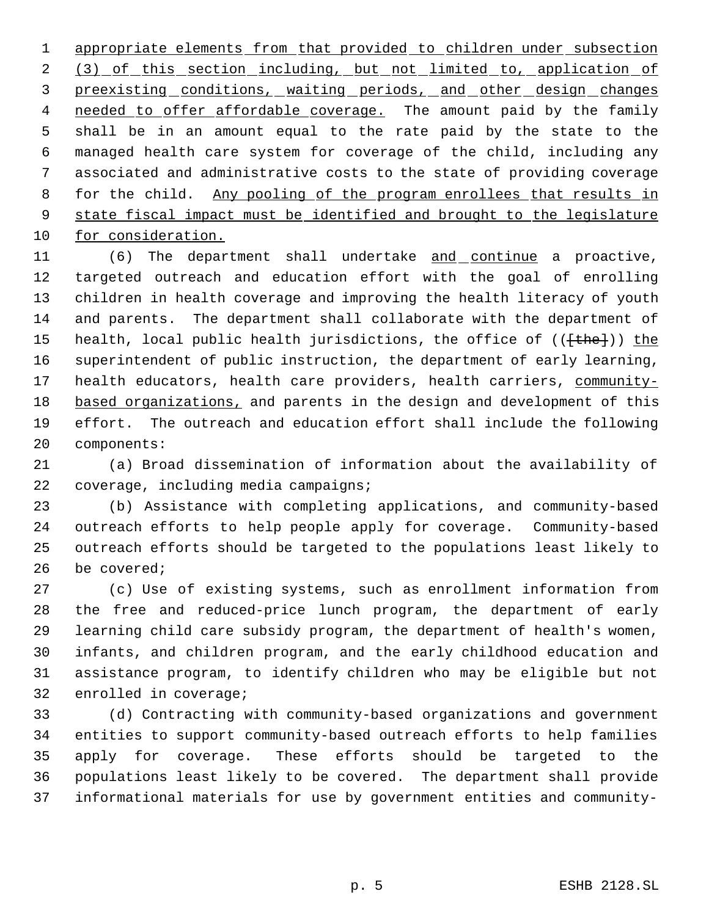1 appropriate elements from that provided to children under subsection (3) of this section including, but not limited to, application of preexisting conditions, waiting periods, and other design changes 4 needed to offer affordable coverage. The amount paid by the family shall be in an amount equal to the rate paid by the state to the managed health care system for coverage of the child, including any associated and administrative costs to the state of providing coverage 8 for the child. Any pooling of the program enrollees that results in 9 state fiscal impact must be identified and brought to the legislature for consideration.

11 (6) The department shall undertake and continue a proactive, targeted outreach and education effort with the goal of enrolling children in health coverage and improving the health literacy of youth and parents. The department shall collaborate with the department of 15 health, local public health jurisdictions, the office of (( $\{\text{the}\})$ ) the superintendent of public instruction, the department of early learning, 17 health educators, health care providers, health carriers, community-18 based organizations, and parents in the design and development of this effort. The outreach and education effort shall include the following components:

 (a) Broad dissemination of information about the availability of coverage, including media campaigns;

 (b) Assistance with completing applications, and community-based outreach efforts to help people apply for coverage. Community-based outreach efforts should be targeted to the populations least likely to be covered;

 (c) Use of existing systems, such as enrollment information from the free and reduced-price lunch program, the department of early learning child care subsidy program, the department of health's women, infants, and children program, and the early childhood education and assistance program, to identify children who may be eligible but not enrolled in coverage;

 (d) Contracting with community-based organizations and government entities to support community-based outreach efforts to help families apply for coverage. These efforts should be targeted to the populations least likely to be covered. The department shall provide informational materials for use by government entities and community-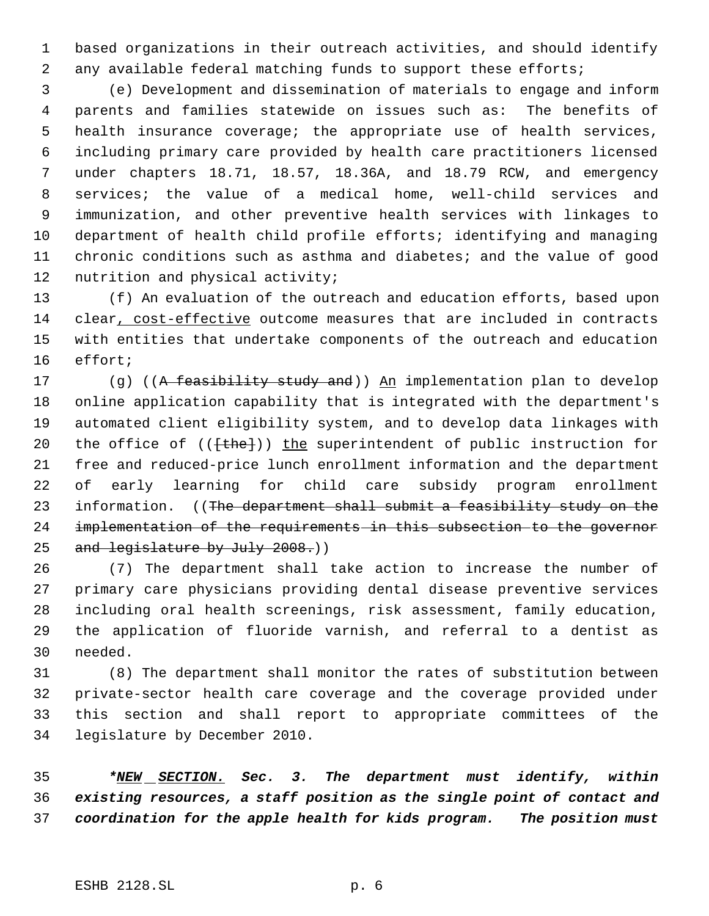based organizations in their outreach activities, and should identify any available federal matching funds to support these efforts;

 (e) Development and dissemination of materials to engage and inform parents and families statewide on issues such as: The benefits of health insurance coverage; the appropriate use of health services, including primary care provided by health care practitioners licensed under chapters 18.71, 18.57, 18.36A, and 18.79 RCW, and emergency services; the value of a medical home, well-child services and immunization, and other preventive health services with linkages to department of health child profile efforts; identifying and managing chronic conditions such as asthma and diabetes; and the value of good nutrition and physical activity;

 (f) An evaluation of the outreach and education efforts, based upon clear, cost-effective outcome measures that are included in contracts with entities that undertake components of the outreach and education effort;

17 (g) ((A feasibility study and)) An implementation plan to develop online application capability that is integrated with the department's automated client eligibility system, and to develop data linkages with 20 the office of  $((+the+)$ ) the superintendent of public instruction for free and reduced-price lunch enrollment information and the department of early learning for child care subsidy program enrollment 23 information. ((The department shall submit a feasibility study on the implementation of the requirements in this subsection to the governor 25 and legislature by July 2008.))

 (7) The department shall take action to increase the number of primary care physicians providing dental disease preventive services including oral health screenings, risk assessment, family education, the application of fluoride varnish, and referral to a dentist as needed.

 (8) The department shall monitor the rates of substitution between private-sector health care coverage and the coverage provided under this section and shall report to appropriate committees of the legislature by December 2010.

 *\*NEW SECTION. Sec. 3. The department must identify, within existing resources, a staff position as the single point of contact and coordination for the apple health for kids program. The position must*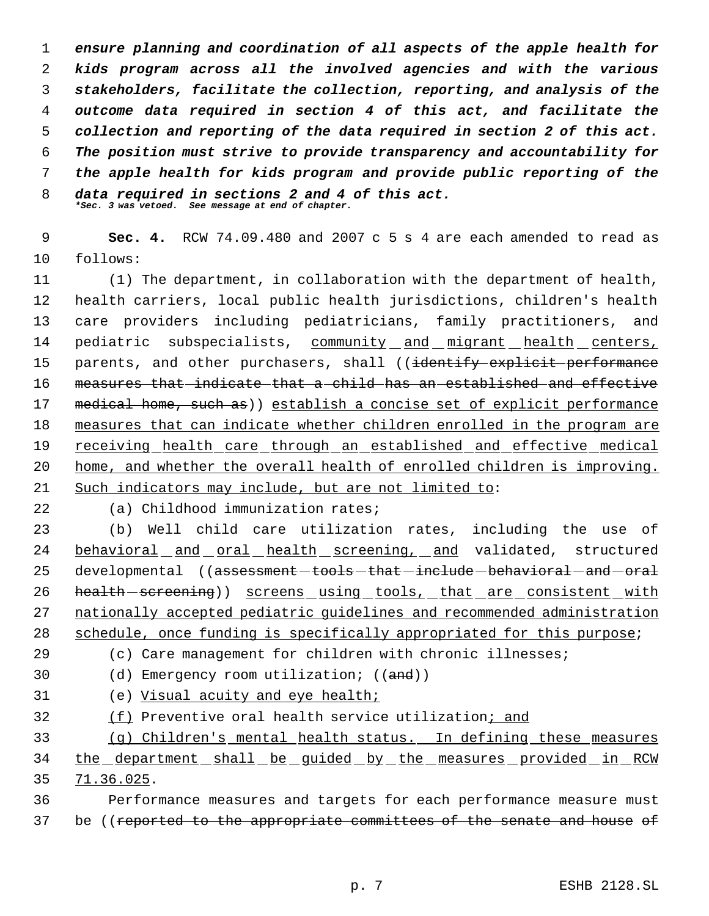*ensure planning and coordination of all aspects of the apple health for kids program across all the involved agencies and with the various stakeholders, facilitate the collection, reporting, and analysis of the outcome data required in section 4 of this act, and facilitate the collection and reporting of the data required in section 2 of this act. The position must strive to provide transparency and accountability for the apple health for kids program and provide public reporting of the data required in sections 2 and 4 of this act. \*Sec. 3 was vetoed. See message at end of chapter.*

 **Sec. 4.** RCW 74.09.480 and 2007 c 5 s 4 are each amended to read as follows:

 (1) The department, in collaboration with the department of health, health carriers, local public health jurisdictions, children's health care providers including pediatricians, family practitioners, and pediatric subspecialists, community and migrant health centers, 15 parents, and other purchasers, shall ((identify explicit performance measures that indicate that a child has an established and effective medical home, such as)) establish a concise set of explicit performance 18 measures that can indicate whether children enrolled in the program are receiving health care through an established and effective medical home, and whether the overall health of enrolled children is improving. Such indicators may include, but are not limited to:

22 (a) Childhood immunization rates;

 (b) Well child care utilization rates, including the use of behavioral and oral health screening, and validated, structured 25 developmental ((assessment-tools-that-include-behavioral-and-oral 26 health screening)) screens using tools, that are consistent with nationally accepted pediatric guidelines and recommended administration schedule, once funding is specifically appropriated for this purpose;

(c) Care management for children with chronic illnesses;

30 (d) Emergency room utilization; ((and))

(e) Visual acuity and eye health;

(f) Preventive oral health service utilization; and

 (g) Children's mental health status. In defining these measures the department shall be guided by the measures provided in RCW 71.36.025.

 Performance measures and targets for each performance measure must be ((reported to the appropriate committees of the senate and house of